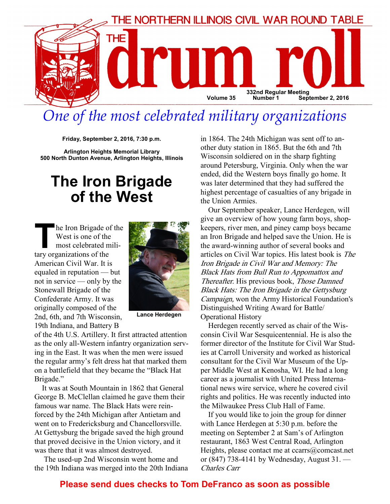

# One of the most celebrated military organizations

Friday, September 2, 2016, 7:30 p.m.

Arlington Heights Memorial Library 500 North Dunton Avenue, Arlington Heights, Illinois

## The Iron Brigade of the West

The Iron Brigade of the West is one of the most celebrated military organizations of the American Civil War. It is equaled in reputation — but not in service — only by the Stonewall Brigade of the Confederate Army. It was originally composed of the 2nd, 6th, and 7th Wisconsin, 19th Indiana, and Battery B



Lance Herdegen

of the 4th U.S. Artillery. It first attracted attention as the only all-Western infantry organization serving in the East. It was when the men were issued the regular army's felt dress hat that marked them on a battlefield that they became the "Black Hat Brigade."

It was at South Mountain in 1862 that General George B. McClellan claimed he gave them their famous war name. The Black Hats were reinforced by the 24th Michigan after Antietam and went on to Fredericksburg and Chancellorsville. At Gettysburg the brigade saved the high ground that proved decisive in the Union victory, and it was there that it was almost destroyed.

 The used-up 2nd Wisconsin went home and the 19th Indiana was merged into the 20th Indiana in 1864. The 24th Michigan was sent off to another duty station in 1865. But the 6th and 7th Wisconsin soldiered on in the sharp fighting around Petersburg, Virginia. Only when the war ended, did the Western boys finally go home. It was later determined that they had suffered the highest percentage of casualties of any brigade in the Union Armies.

Our September speaker, Lance Herdegen, will give an overview of how young farm boys, shopkeepers, river men, and piney camp boys became an Iron Brigade and helped save the Union. He is the award-winning author of several books and articles on Civil War topics. His latest book is The Iron Brigade in Civil War and Memory: The Black Hats from Bull Run to Appomattox and Thereafter. His previous book, Those Damned Black Hats: The Iron Brigade in the Gettysburg Campaign, won the Army Historical Foundation's Distinguished Writing Award for Battle/ Operational History

Herdegen recently served as chair of the Wisconsin Civil War Sesquicentennial. He is also the former director of the Institute for Civil War Studies at Carroll University and worked as historical consultant for the Civil War Museum of the Upper Middle West at Kenosha, WI. He had a long career as a journalist with United Press International news wire service, where he covered civil rights and politics. He was recently inducted into the Milwaukee Press Club Hall of Fame.

If you would like to join the group for dinner with Lance Herdegen at 5:30 p.m. before the meeting on September 2 at Sam's of Arlington restaurant, 1863 West Central Road, Arlington Heights, please contact me at ccarrs@comcast.net or (847) 738-4141 by Wednesday, August 31. — Charles Carr

#### Please send dues checks to Tom DeFranco as soon as possible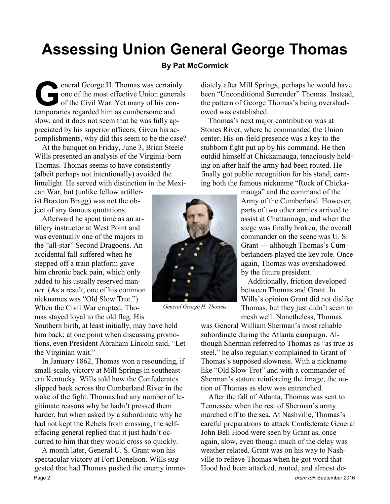# Assessing Union General George Thomas

### By Pat McCormick

eneral George H. Thomas was certainly<br>one of the most effective Union generals<br>of the Civil War. Yet many of his con-<br>temporaries regarded him as cumbersome and one of the most effective Union generals of the Civil War. Yet many of his contemporaries regarded him as cumbersome and slow, and it does not seem that he was fully appreciated by his superior officers. Given his accomplishments, why did this seem to be the case?

At the banquet on Friday, June 3, Brian Steele Wills presented an analysis of the Virginia-born Thomas. Thomas seems to have consistently (albeit perhaps not intentionally) avoided the limelight. He served with distinction in the Mexi-

can War, but (unlike fellow artillerist Braxton Bragg) was not the object of any famous quotations.

Afterward he spent time as an artillery instructor at West Point and was eventually one of the majors in the "all-star" Second Dragoons. An accidental fall suffered when he stepped off a train platform gave him chronic back pain, which only added to his usually reserved manner. (As a result, one of his common nicknames was "Old Slow Trot.") When the Civil War erupted, Thomas stayed loyal to the old flag. His

Southern birth, at least initially, may have held him back; at one point when discussing promotions, even President Abraham Lincoln said, "Let the Virginian wait."

In January 1862, Thomas won a resounding, if small-scale, victory at Mill Springs in southeastern Kentucky. Wills told how the Confederates slipped back across the Cumberland River in the wake of the fight. Thomas had any number of legitimate reasons why he hadn't pressed them harder, but when asked by a subordinate why he had not kept the Rebels from crossing, the selfeffacing general replied that it just hadn't occurred to him that they would cross so quickly.

A month later, General U. S. Grant won his spectacular victory at Fort Donelson. Wills suggested that had Thomas pushed the enemy imme-Page 2 drum roll, September 2016



General George H. Thomas

diately after Mill Springs, perhaps he would have been "Unconditional Surrender" Thomas. Instead, the pattern of George Thomas's being overshadowed was established.

Thomas's next major contribution was at Stones River, where he commanded the Union center. His on-field presence was a key to the stubborn fight put up by his command. He then outdid himself at Chickamauga, tenaciously holding on after half the army had been routed. He finally got public recognition for his stand, earning both the famous nickname "Rock of Chicka-

> mauga" and the command of the Army of the Cumberland. However, parts of two other armies arrived to assist at Chattanooga, and when the siege was finally broken, the overall commander on the scene was U. S. Grant — although Thomas's Cumberlanders played the key role. Once again, Thomas was overshadowed by the future president.

> Additionally, friction developed between Thomas and Grant. In Wills's opinion Grant did not dislike Thomas, but they just didn't seem to mesh well. Nonetheless, Thomas

was General William Sherman's most reliable subordinate during the Atlanta campaign. Although Sherman referred to Thomas as "as true as steel," he also regularly complained to Grant of Thomas's supposed slowness. With a nickname like "Old Slow Trot" and with a commander of Sherman's stature reinforcing the image, the notion of Thomas as slow was entrenched.

After the fall of Atlanta, Thomas was sent to Tennessee when the rest of Sherman's army marched off to the sea. At Nashville, Thomas's careful preparations to attack Confederate General John Bell Hood were seen by Grant as, once again, slow, even though much of the delay was weather related. Grant was on his way to Nashville to relieve Thomas when he got word that Hood had been attacked, routed, and almost de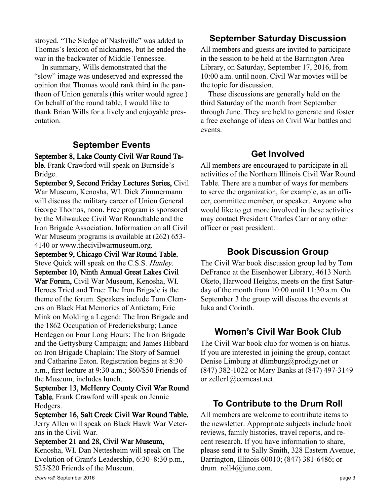stroyed. "The Sledge of Nashville" was added to Thomas's lexicon of nicknames, but he ended the war in the backwater of Middle Tennessee.

In summary, Wills demonstrated that the "slow" image was undeserved and expressed the opinion that Thomas would rank third in the pantheon of Union generals (this writer would agree.) On behalf of the round table, I would like to thank Brian Wills for a lively and enjoyable presentation.

## September Events

September 8, Lake County Civil War Round Table. Frank Crawford will speak on Burnside's Bridge.

September 9, Second Friday Lectures Series, Civil War Museum, Kenosha, WI. Dick Zimmermann will discuss the military career of Union General George Thomas, noon. Free program is sponsored by the Milwaukee Civil War Roundtable and the Iron Brigade Association. Information on all Civil War Museum programs is available at (262) 653- 4140 or www.thecivilwarmuseum.org. September 9, Chicago Civil War Round Table. Steve Quick will speak on the C.S.S. Hunley. September 10, Ninth Annual Great Lakes Civil War Forum, Civil War Museum, Kenosha, WI. Heroes Tried and True: The Iron Brigade is the theme of the forum. Speakers include Tom Clemens on Black Hat Memories of Antietam; Eric Mink on Molding a Legend: The Iron Brigade and the 1862 Occupation of Fredericksburg; Lance Herdegen on Four Long Hours: The Iron Brigade and the Gettysburg Campaign; and James Hibbard on Iron Brigade Chaplain: The Story of Samuel and Catharine Eaton. Registration begins at 8:30 a.m., first lecture at 9:30 a.m.; \$60/\$50 Friends of the Museum, includes lunch.

September 13, McHenry County Civil War Round Table. Frank Crawford will speak on Jennie Hodgers.

September 16, Salt Creek Civil War Round Table. Jerry Allen will speak on Black Hawk War Veterans in the Civil War.

#### September 21 and 28, Civil War Museum,

Kenosha, WI. Dan Nettesheim will speak on The Evolution of Grant's Leadership, 6:30–8:30 p.m., \$25/\$20 Friends of the Museum.

### September Saturday Discussion

All members and guests are invited to participate in the session to be held at the Barrington Area Library, on Saturday, September 17, 2016, from 10:00 a.m. until noon. Civil War movies will be the topic for discussion.

These discussions are generally held on the third Saturday of the month from September through June. They are held to generate and foster a free exchange of ideas on Civil War battles and events.

#### Get Involved

All members are encouraged to participate in all activities of the Northern Illinois Civil War Round Table. There are a number of ways for members to serve the organization, for example, as an officer, committee member, or speaker. Anyone who would like to get more involved in these activities may contact President Charles Carr or any other officer or past president.

#### Book Discussion Group

The Civil War book discussion group led by Tom DeFranco at the Eisenhower Library, 4613 North Oketo, Harwood Heights, meets on the first Saturday of the month from 10:00 until 11:30 a.m. On September 3 the group will discuss the events at Iuka and Corinth.

#### Women's Civil War Book Club

The Civil War book club for women is on hiatus. If you are interested in joining the group, contact Denise Limburg at dlimburg@prodigy.net or (847) 382-1022 or Mary Banks at (847) 497-3149 or zeller1@comcast.net.

### To Contribute to the Drum Roll

All members are welcome to contribute items to the newsletter. Appropriate subjects include book reviews, family histories, travel reports, and recent research. If you have information to share, please send it to Sally Smith, 328 Eastern Avenue, Barrington, Illinois 60010; (847) 381-6486; or drum roll4@juno.com.